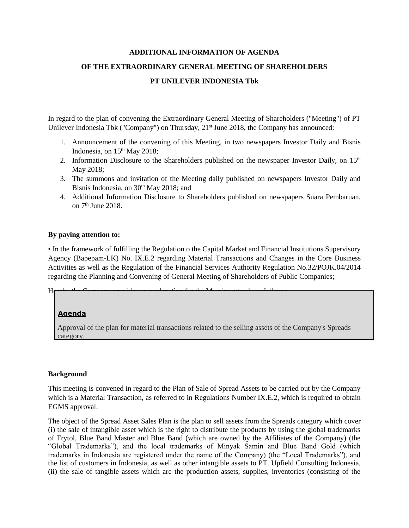#### **ADDITIONAL INFORMATION OF AGENDA**

# **OF THE EXTRAORDINARY GENERAL MEETING OF SHAREHOLDERS**

### **PT UNILEVER INDONESIA Tbk**

In regard to the plan of convening the Extraordinary General Meeting of Shareholders ("Meeting") of PT Unilever Indonesia Tbk ("Company") on Thursday, 21<sup>st</sup> June 2018, the Company has announced:

- 1. Announcement of the convening of this Meeting, in two newspapers Investor Daily and Bisnis Indonesia, on  $15<sup>th</sup>$  May 2018;
- 2. Information Disclosure to the Shareholders published on the newspaper Investor Daily, on  $15<sup>th</sup>$ May 2018;
- 3. The summons and invitation of the Meeting daily published on newspapers Investor Daily and Bisnis Indonesia, on  $30<sup>th</sup>$  May 2018; and
- 4. Additional Information Disclosure to Shareholders published on newspapers Suara Pembaruan, on 7<sup>th</sup> June 2018.

### **By paying attention to:**

• In the framework of fulfilling the Regulation o the Capital Market and Financial Institutions Supervisory Agency (Bapepam-LK) No. IX.E.2 regarding Material Transactions and Changes in the Core Business Activities as well as the Regulation of the Financial Services Authority Regulation No.32/POJK.04/2014 regarding the Planning and Convening of General Meeting of Shareholders of Public Companies;

Hereby the Company provides an explanation for the Meeting age

# **Agenda**

Approval of the plan for material transactions related to the selling assets of the Company's Spreads category.

# **Background**

This meeting is convened in regard to the Plan of Sale of Spread Assets to be carried out by the Company which is a Material Transaction, as referred to in Regulations Number IX.E.2, which is required to obtain EGMS approval.

The object of the Spread Asset Sales Plan is the plan to sell assets from the Spreads category which cover (i) the sale of intangible asset which is the right to distribute the products by using the global trademarks of Frytol, Blue Band Master and Blue Band (which are owned by the Affiliates of the Company) (the "Global Trademarks"), and the local trademarks of Minyak Samin and Blue Band Gold (which trademarks in Indonesia are registered under the name of the Company) (the "Local Trademarks"), and the list of customers in Indonesia, as well as other intangible assets to PT. Upfield Consulting Indonesia, (ii) the sale of tangible assets which are the production assets, supplies, inventories (consisting of the